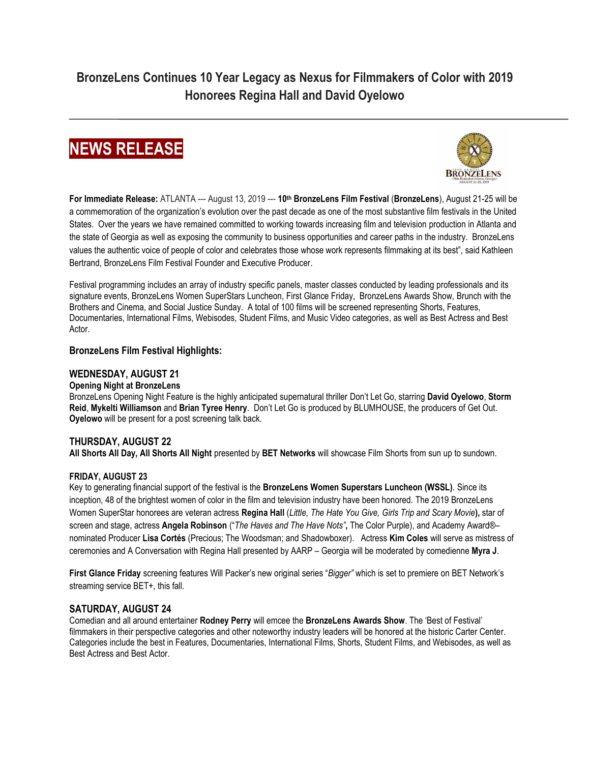**BronzeLens Continues 10 Year Legacy as Nexus for Filmmakers of Color with 2019 Honorees Regina Hall and David Oyelowo**





**For Immediate Release:** ATLANTA --- August 13, 2019 --- **10th BronzeLens Film Festival** (**BronzeLens**), August 21-25 will be a commemoration of the organization's evolution over the past decade as one of the most substantive film festivals in the United States. Over the years we have remained committed to working towards increasing film and television production in Atlanta and the state of Georgia as well as exposing the community to business opportunities and career paths in the industry. BronzeLens values the authentic voice of people of color and celebrates those whose work represents filmmaking at its best", said Kathleen Bertrand, BronzeLens Film Festival Founder and Executive Producer.

Festival programming includes an array of industry specific panels, master classes conducted by leading professionals and its signature events, BronzeLens Women SuperStars Luncheon, First Glance Friday, BronzeLens Awards Show, Brunch with the Brothers and Cinema, and Social Justice Sunday.A total of 100 films will be screened representing Shorts, Features, Documentaries, International Films, Webisodes, Student Films, and Music Video categories, as well as Best Actress and Best Actor.

## **BronzeLens Film Festival Highlights:**

## **WEDNESDAY, AUGUST 21**

### **Opening Night at BronzeLens**

BronzeLens Opening Night Feature is the highly anticipated supernatural thriller Don't Let Go, starring **David Oyelowo**, **Storm Reid**, **Mykelti Williamson** and **Brian Tyree Henry**. Don't Let Go is produced by BLUMHOUSE, the producers of Get Out. **Oyelowo** will be present for a post screening talk back.

# **THURSDAY, AUGUST 22**

**All Shorts All Day, All Shorts All Night** presented by **BET Networks** will showcase Film Shorts from sun up to sundown.

### **FRIDAY, AUGUST 23**

Key to generating financial support of the festival is the **BronzeLens Women Superstars Luncheon (WSSL)**. Since its inception, 48 of the brightest women of color in the film and television industry have been honored. The 2019 BronzeLens Women SuperStar honorees are veteran actress **Regina Hall** (*Little, The Hate You Give, Girls Trip and Scary Movie***),** star of screen and stage, actress **Angela Robinson** ("*The Haves and The Have Nots"***,** The Color Purple), and Academy Award®– nominated Producer **Lisa Cortés** (Precious; The Woodsman; and Shadowboxer). Actress **Kim Coles** will serve as mistress of ceremonies and A Conversation with Regina Hall presented by AARP – Georgia will be moderated by comedienne **Myra J**.

**First Glance Friday** screening features Will Packer's new original series "*Bigger"* which is set to premiere on BET Network's streaming service BET+, this fall.

# **SATURDAY, AUGUST 24**

Comedian and all around entertainer **Rodney Perry** will emcee the **BronzeLens Awards Show**. The 'Best of Festival' filmmakers in their perspective categories and other noteworthy industry leaders will be honored at the historic Carter Center. Categories include the best in Features, Documentaries, International Films, Shorts, Student Films, and Webisodes, as well as Best Actress and Best Actor.